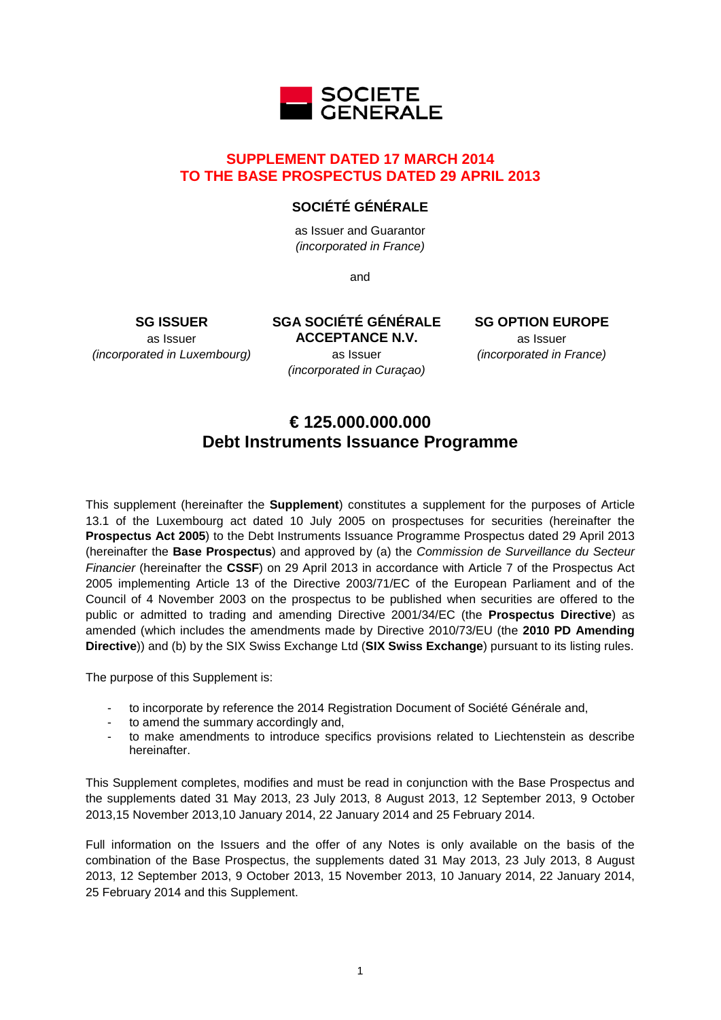

# **SUPPLEMENT DATED 17 MARCH 2014 TO THE BASE PROSPECTUS DATED 29 APRIL 2013**

# **SOCIÉTÉ GÉNÉRALE**

as Issuer and Guarantor *(incorporated in France)*

and

**SG ISSUER** as Issuer *(incorporated in Luxembourg)* **SGA SOCIÉTÉ GÉNÉRALE ACCEPTANCE N.V.** as Issuer *(incorporated in Curaçao)*

**SG OPTION EUROPE** as Issuer *(incorporated in France)*

# **€ 125.000.000.000 Debt Instruments Issuance Programme**

This supplement (hereinafter the **Supplement**) constitutes a supplement for the purposes of Article 13.1 of the Luxembourg act dated 10 July 2005 on prospectuses for securities (hereinafter the **Prospectus Act 2005**) to the Debt Instruments Issuance Programme Prospectus dated 29 April 2013 (hereinafter the **Base Prospectus**) and approved by (a) the *Commission de Surveillance du Secteur Financier* (hereinafter the **CSSF**) on 29 April 2013 in accordance with Article 7 of the Prospectus Act 2005 implementing Article 13 of the Directive 2003/71/EC of the European Parliament and of the Council of 4 November 2003 on the prospectus to be published when securities are offered to the public or admitted to trading and amending Directive 2001/34/EC (the **Prospectus Directive**) as amended (which includes the amendments made by Directive 2010/73/EU (the **2010 PD Amending Directive**)) and (b) by the SIX Swiss Exchange Ltd (**SIX Swiss Exchange**) pursuant to its listing rules.

The purpose of this Supplement is:

- to incorporate by reference the 2014 Registration Document of Société Générale and,
- to amend the summary accordingly and,
- to make amendments to introduce specifics provisions related to Liechtenstein as describe hereinafter.

This Supplement completes, modifies and must be read in conjunction with the Base Prospectus and the supplements dated 31 May 2013, 23 July 2013, 8 August 2013, 12 September 2013, 9 October 2013,15 November 2013,10 January 2014, 22 January 2014 and 25 February 2014.

Full information on the Issuers and the offer of any Notes is only available on the basis of the combination of the Base Prospectus, the supplements dated 31 May 2013, 23 July 2013, 8 August 2013, 12 September 2013, 9 October 2013, 15 November 2013, 10 January 2014, 22 January 2014, 25 February 2014 and this Supplement.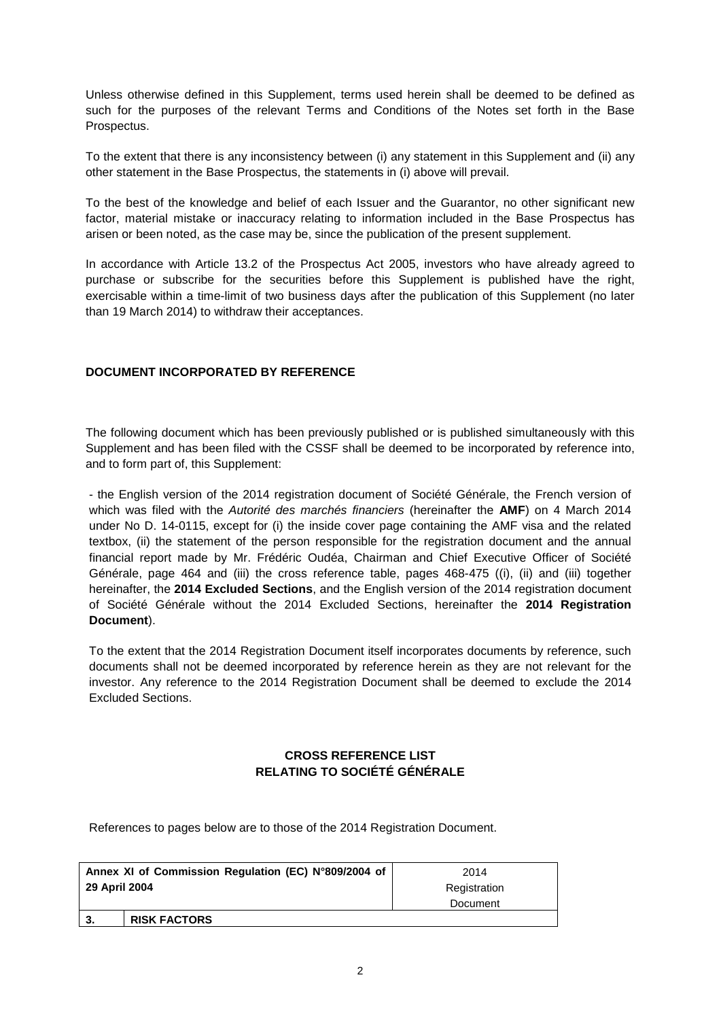Unless otherwise defined in this Supplement, terms used herein shall be deemed to be defined as such for the purposes of the relevant Terms and Conditions of the Notes set forth in the Base Prospectus.

To the extent that there is any inconsistency between (i) any statement in this Supplement and (ii) any other statement in the Base Prospectus, the statements in (i) above will prevail.

To the best of the knowledge and belief of each Issuer and the Guarantor, no other significant new factor, material mistake or inaccuracy relating to information included in the Base Prospectus has arisen or been noted, as the case may be, since the publication of the present supplement.

In accordance with Article 13.2 of the Prospectus Act 2005, investors who have already agreed to purchase or subscribe for the securities before this Supplement is published have the right, exercisable within a time-limit of two business days after the publication of this Supplement (no later than 19 March 2014) to withdraw their acceptances.

# **DOCUMENT INCORPORATED BY REFERENCE**

The following document which has been previously published or is published simultaneously with this Supplement and has been filed with the CSSF shall be deemed to be incorporated by reference into, and to form part of, this Supplement:

- the English version of the 2014 registration document of Société Générale, the French version of which was filed with the *Autorité des marchés financiers* (hereinafter the **AMF**) on 4 March 2014 under No D. 14-0115, except for (i) the inside cover page containing the AMF visa and the related textbox, (ii) the statement of the person responsible for the registration document and the annual financial report made by Mr. Frédéric Oudéa, Chairman and Chief Executive Officer of Société Générale, page 464 and (iii) the cross reference table, pages 468-475 ((i), (ii) and (iii) together hereinafter, the **2014 Excluded Sections**, and the English version of the 2014 registration document of Société Générale without the 2014 Excluded Sections, hereinafter the **2014 Registration Document**).

To the extent that the 2014 Registration Document itself incorporates documents by reference, such documents shall not be deemed incorporated by reference herein as they are not relevant for the investor. Any reference to the 2014 Registration Document shall be deemed to exclude the 2014 Excluded Sections.

# **CROSS REFERENCE LIST RELATING TO SOCIÉTÉ GÉNÉRALE**

References to pages below are to those of the 2014 Registration Document.

| Annex XI of Commission Regulation (EC) N°809/2004 of |                     | 2014         |  |
|------------------------------------------------------|---------------------|--------------|--|
| 29 April 2004                                        |                     | Registration |  |
|                                                      |                     | Document     |  |
| 3.                                                   | <b>RISK FACTORS</b> |              |  |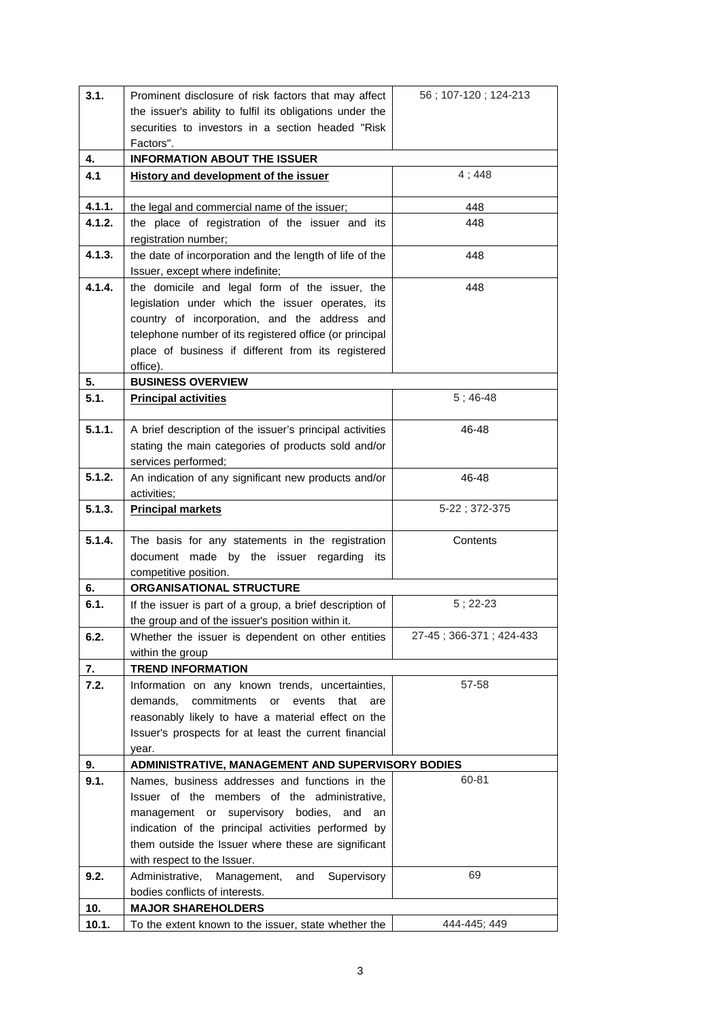| 3.1.   | Prominent disclosure of risk factors that may affect                                               | 56; 107-120; 124-213    |
|--------|----------------------------------------------------------------------------------------------------|-------------------------|
|        | the issuer's ability to fulfil its obligations under the                                           |                         |
|        | securities to investors in a section headed "Risk                                                  |                         |
|        | Factors".                                                                                          |                         |
| 4.     | <b>INFORMATION ABOUT THE ISSUER</b>                                                                |                         |
| 4.1    | History and development of the issuer                                                              | 4;448                   |
| 4.1.1. | the legal and commercial name of the issuer;                                                       | 448                     |
| 4.1.2. | the place of registration of the issuer and its                                                    | 448                     |
|        | registration number;                                                                               |                         |
| 4.1.3. | the date of incorporation and the length of life of the                                            | 448                     |
|        | Issuer, except where indefinite;                                                                   |                         |
| 4.1.4. | the domicile and legal form of the issuer, the                                                     | 448                     |
|        | legislation under which the issuer operates, its                                                   |                         |
|        | country of incorporation, and the address and                                                      |                         |
|        | telephone number of its registered office (or principal                                            |                         |
|        | place of business if different from its registered                                                 |                         |
|        | office).                                                                                           |                         |
| 5.     | <b>BUSINESS OVERVIEW</b>                                                                           |                         |
| 5.1.   | <b>Principal activities</b>                                                                        | $5:46-48$               |
| 5.1.1. | A brief description of the issuer's principal activities                                           | 46-48                   |
|        | stating the main categories of products sold and/or                                                |                         |
|        | services performed;                                                                                |                         |
| 5.1.2. | An indication of any significant new products and/or                                               | 46-48                   |
|        | activities:                                                                                        |                         |
| 5.1.3. | <b>Principal markets</b>                                                                           | 5-22; 372-375           |
|        |                                                                                                    |                         |
| 5.1.4. | The basis for any statements in the registration                                                   | Contents                |
|        | document made by the issuer regarding its                                                          |                         |
| 6.     | competitive position.<br><b>ORGANISATIONAL STRUCTURE</b>                                           |                         |
| 6.1.   | If the issuer is part of a group, a brief description of                                           | $5; 22-23$              |
|        | the group and of the issuer's position within it.                                                  |                         |
| 6.2.   | Whether the issuer is dependent on other entities                                                  | 27-45; 366-371; 424-433 |
|        | within the group                                                                                   |                         |
| 7.     | <b>TREND INFORMATION</b>                                                                           |                         |
| 7.2.   | Information on any known trends, uncertainties,                                                    | 57-58                   |
|        | commitments or<br>demands,<br>events<br>that<br>are                                                |                         |
|        | reasonably likely to have a material effect on the                                                 |                         |
|        | Issuer's prospects for at least the current financial                                              |                         |
|        | year.                                                                                              |                         |
| 9.     | ADMINISTRATIVE, MANAGEMENT AND SUPERVISORY BODIES                                                  |                         |
| 9.1.   | Names, business addresses and functions in the                                                     | 60-81                   |
|        | Issuer of the members of the administrative,                                                       |                         |
|        | management or supervisory bodies, and<br>an<br>indication of the principal activities performed by |                         |
|        | them outside the Issuer where these are significant                                                |                         |
|        | with respect to the Issuer.                                                                        |                         |
| 9.2.   | Administrative,<br>Supervisory<br>Management,<br>and                                               | 69                      |
|        | bodies conflicts of interests.                                                                     |                         |
| 10.    | <b>MAJOR SHAREHOLDERS</b>                                                                          |                         |
| 10.1.  | To the extent known to the issuer, state whether the                                               | 444-445; 449            |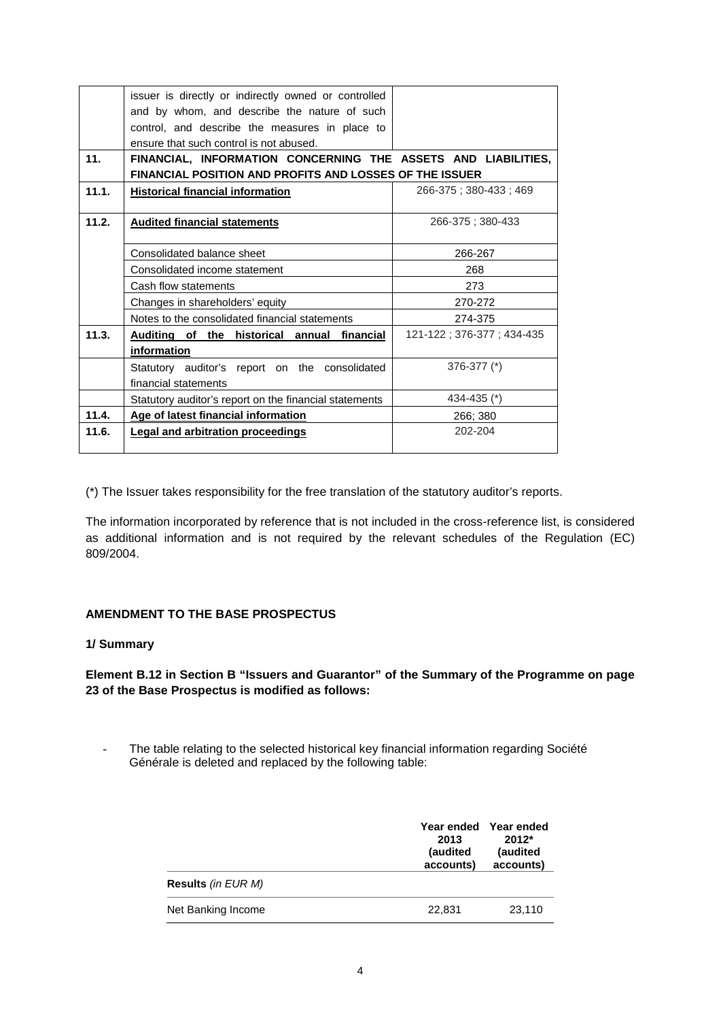|       | issuer is directly or indirectly owned or controlled<br>and by whom, and describe the nature of such |                           |  |  |  |
|-------|------------------------------------------------------------------------------------------------------|---------------------------|--|--|--|
|       | control, and describe the measures in place to<br>ensure that such control is not abused.            |                           |  |  |  |
| 11.   | FINANCIAL, INFORMATION CONCERNING THE ASSETS AND LIABILITIES,                                        |                           |  |  |  |
|       | <b>FINANCIAL POSITION AND PROFITS AND LOSSES OF THE ISSUER</b>                                       |                           |  |  |  |
| 11.1. | <b>Historical financial information</b>                                                              | 266-375 : 380-433 : 469   |  |  |  |
|       |                                                                                                      |                           |  |  |  |
| 11.2. | <b>Audited financial statements</b>                                                                  | 266-375: 380-433          |  |  |  |
|       |                                                                                                      |                           |  |  |  |
|       | Consolidated balance sheet                                                                           | 266-267                   |  |  |  |
|       | Consolidated income statement                                                                        | 268                       |  |  |  |
|       | Cash flow statements                                                                                 | 273                       |  |  |  |
|       | Changes in shareholders' equity                                                                      | 270-272                   |  |  |  |
|       | Notes to the consolidated financial statements                                                       | 274-375                   |  |  |  |
| 11.3. | Auditing of the historical annual financial                                                          | 121-122; 376-377; 434-435 |  |  |  |
|       | information                                                                                          |                           |  |  |  |
|       | Statutory auditor's report on the consolidated                                                       | $376 - 377$ (*)           |  |  |  |
|       | financial statements                                                                                 |                           |  |  |  |
|       | Statutory auditor's report on the financial statements                                               | 434-435 (*)               |  |  |  |
| 11.4. | Age of latest financial information                                                                  | 266; 380                  |  |  |  |
| 11.6. | <b>Legal and arbitration proceedings</b>                                                             | 202-204                   |  |  |  |
|       |                                                                                                      |                           |  |  |  |

(\*) The Issuer takes responsibility for the free translation of the statutory auditor's reports.

The information incorporated by reference that is not included in the cross-reference list, is considered as additional information and is not required by the relevant schedules of the Regulation (EC) 809/2004.

# **AMENDMENT TO THE BASE PROSPECTUS**

#### **1/ Summary**

**Element B.12 in Section B "Issuers and Guarantor" of the Summary of the Programme on page 23 of the Base Prospectus is modified as follows:**

- The table relating to the selected historical key financial information regarding Société Générale is deleted and replaced by the following table:

|                           | Year ended<br>2013<br>(audited<br>accounts) | Year ended<br>$2012*$<br>(audited<br>accounts) |
|---------------------------|---------------------------------------------|------------------------------------------------|
| <b>Results</b> (in EUR M) |                                             |                                                |
| Net Banking Income        | 22,831                                      | 23,110                                         |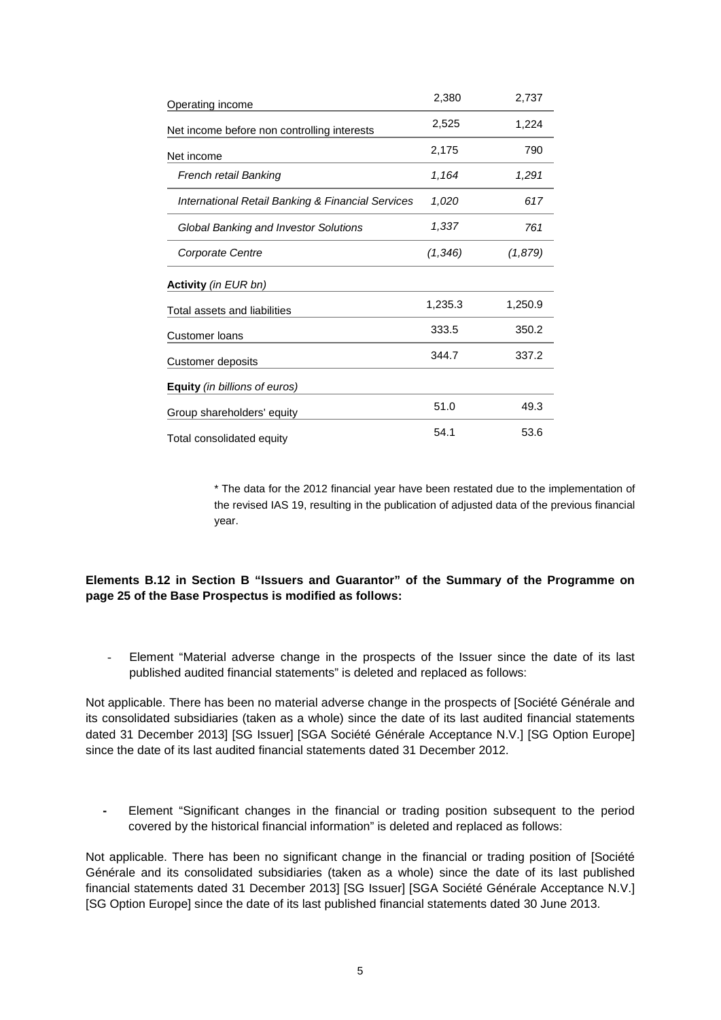| Operating income                                  | 2,380    | 2,737   |
|---------------------------------------------------|----------|---------|
| Net income before non controlling interests       | 2,525    | 1,224   |
| Net income                                        | 2,175    | 790     |
| French retail Banking                             | 1,164    | 1,291   |
| International Retail Banking & Financial Services | 1,020    | 617     |
| <b>Global Banking and Investor Solutions</b>      | 1,337    | 761     |
| Corporate Centre                                  | (1, 346) | (1,879) |
| <b>Activity</b> (in EUR bn)                       |          |         |
| Total assets and liabilities                      | 1,235.3  | 1,250.9 |
| <b>Customer loans</b>                             | 333.5    | 350.2   |
| Customer deposits                                 | 344.7    | 337.2   |
| Equity (in billions of euros)                     |          |         |
| Group shareholders' equity                        | 51.0     | 49.3    |
| Total consolidated equity                         | 54.1     | 53.6    |

\* The data for the 2012 financial year have been restated due to the implementation of the revised IAS 19, resulting in the publication of adjusted data of the previous financial year.

### **Elements B.12 in Section B "Issuers and Guarantor" of the Summary of the Programme on page 25 of the Base Prospectus is modified as follows:**

- Element "Material adverse change in the prospects of the Issuer since the date of its last published audited financial statements" is deleted and replaced as follows:

Not applicable. There has been no material adverse change in the prospects of [Société Générale and its consolidated subsidiaries (taken as a whole) since the date of its last audited financial statements dated 31 December 2013] [SG Issuer] [SGA Société Générale Acceptance N.V.] [SG Option Europe] since the date of its last audited financial statements dated 31 December 2012.

**-** Element "Significant changes in the financial or trading position subsequent to the period covered by the historical financial information" is deleted and replaced as follows:

Not applicable. There has been no significant change in the financial or trading position of [Société Générale and its consolidated subsidiaries (taken as a whole) since the date of its last published financial statements dated 31 December 2013] [SG Issuer] [SGA Société Générale Acceptance N.V.] [SG Option Europe] since the date of its last published financial statements dated 30 June 2013.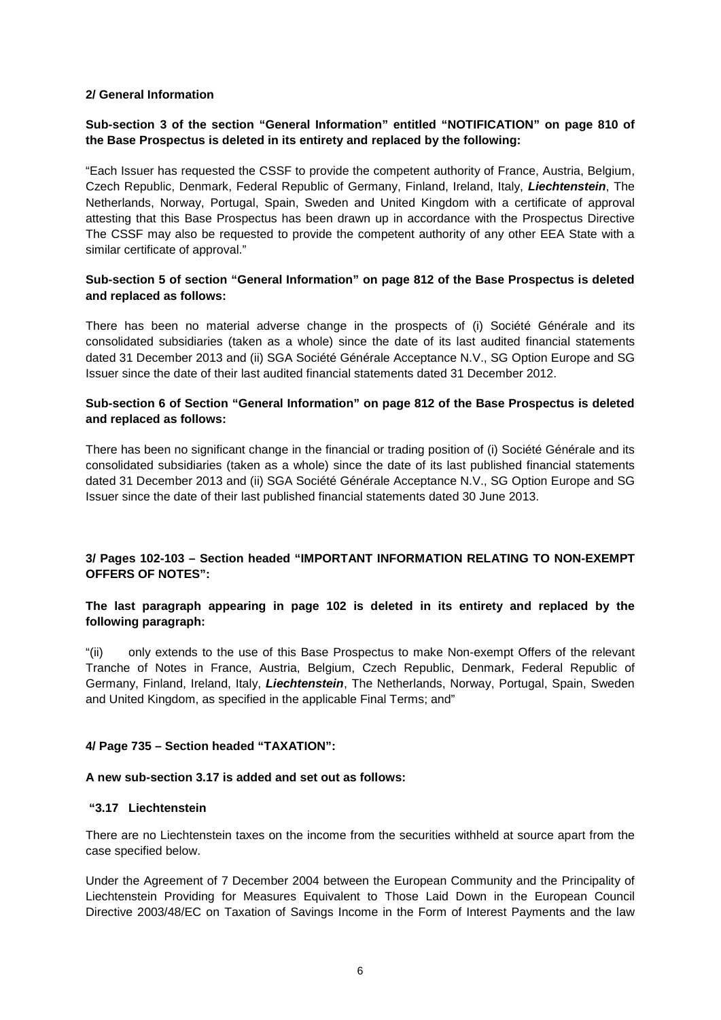#### **2/ General Information**

## **Sub-section 3 of the section "General Information" entitled "NOTIFICATION" on page 810 of the Base Prospectus is deleted in its entirety and replaced by the following:**

"Each Issuer has requested the CSSF to provide the competent authority of France, Austria, Belgium, Czech Republic, Denmark, Federal Republic of Germany, Finland, Ireland, Italy, *Liechtenstein*, The Netherlands, Norway, Portugal, Spain, Sweden and United Kingdom with a certificate of approval attesting that this Base Prospectus has been drawn up in accordance with the Prospectus Directive The CSSF may also be requested to provide the competent authority of any other EEA State with a similar certificate of approval."

## **Sub-section 5 of section "General Information" on page 812 of the Base Prospectus is deleted and replaced as follows:**

There has been no material adverse change in the prospects of (i) Société Générale and its consolidated subsidiaries (taken as a whole) since the date of its last audited financial statements dated 31 December 2013 and (ii) SGA Société Générale Acceptance N.V., SG Option Europe and SG Issuer since the date of their last audited financial statements dated 31 December 2012.

### **Sub-section 6 of Section "General Information" on page 812 of the Base Prospectus is deleted and replaced as follows:**

There has been no significant change in the financial or trading position of (i) Société Générale and its consolidated subsidiaries (taken as a whole) since the date of its last published financial statements dated 31 December 2013 and (ii) SGA Société Générale Acceptance N.V., SG Option Europe and SG Issuer since the date of their last published financial statements dated 30 June 2013.

#### **3/ Pages 102-103 – Section headed "IMPORTANT INFORMATION RELATING TO NON-EXEMPT OFFERS OF NOTES":**

#### **The last paragraph appearing in page 102 is deleted in its entirety and replaced by the following paragraph:**

"(ii) only extends to the use of this Base Prospectus to make Non-exempt Offers of the relevant Tranche of Notes in France, Austria, Belgium, Czech Republic, Denmark, Federal Republic of Germany, Finland, Ireland, Italy, *Liechtenstein*, The Netherlands, Norway, Portugal, Spain, Sweden and United Kingdom, as specified in the applicable Final Terms; and"

#### **4/ Page 735 – Section headed "TAXATION":**

#### **A new sub-section 3.17 is added and set out as follows:**

#### **"3.17 Liechtenstein**

There are no Liechtenstein taxes on the income from the securities withheld at source apart from the case specified below.

Under the Agreement of 7 December 2004 between the European Community and the Principality of Liechtenstein Providing for Measures Equivalent to Those Laid Down in the European Council Directive 2003/48/EC on Taxation of Savings Income in the Form of Interest Payments and the law